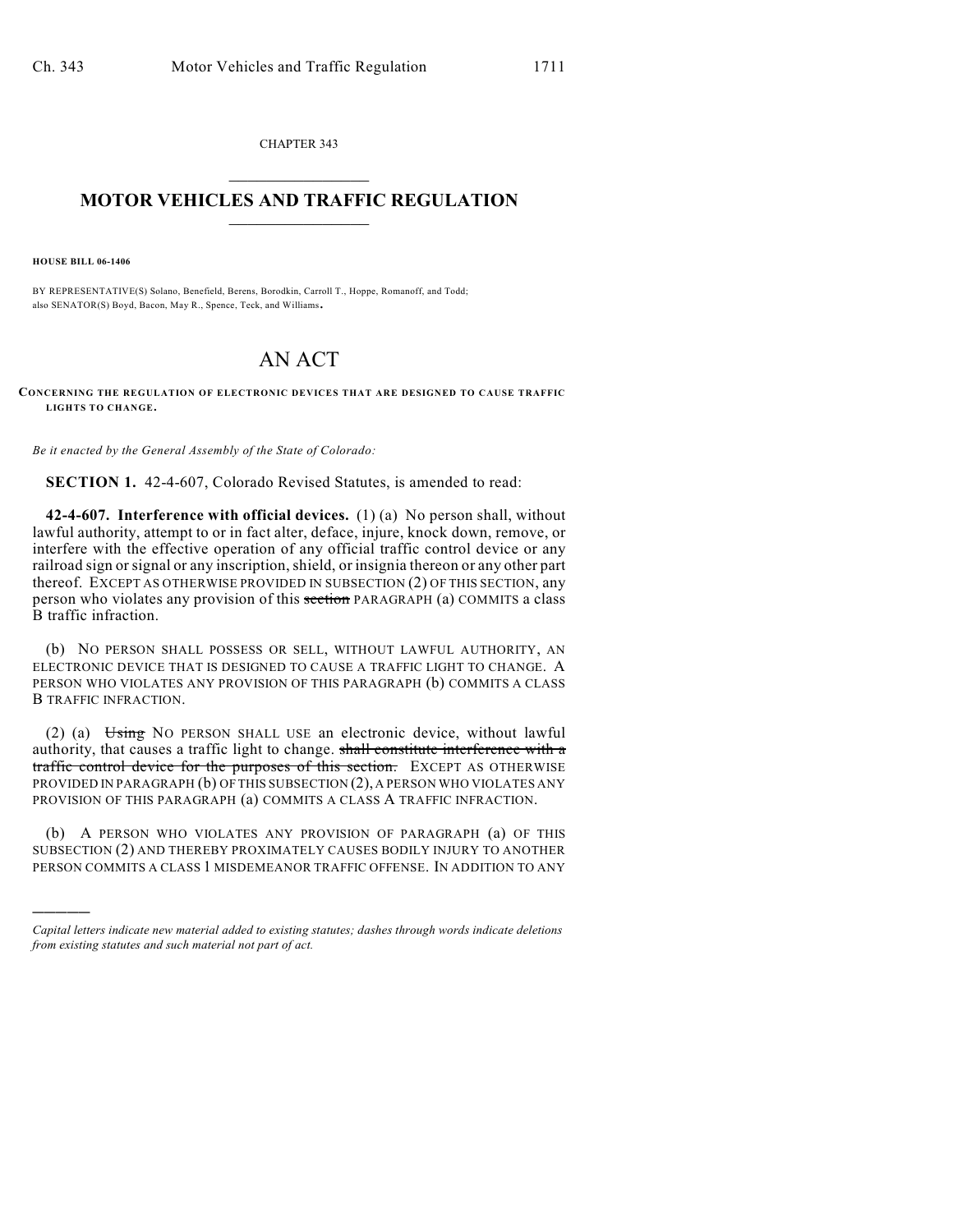CHAPTER 343  $\overline{\phantom{a}}$  . The set of the set of the set of the set of the set of the set of the set of the set of the set of the set of the set of the set of the set of the set of the set of the set of the set of the set of the set o

## **MOTOR VEHICLES AND TRAFFIC REGULATION**  $\frac{1}{2}$  ,  $\frac{1}{2}$  ,  $\frac{1}{2}$  ,  $\frac{1}{2}$  ,  $\frac{1}{2}$  ,  $\frac{1}{2}$  ,  $\frac{1}{2}$  ,  $\frac{1}{2}$

**HOUSE BILL 06-1406**

)))))

BY REPRESENTATIVE(S) Solano, Benefield, Berens, Borodkin, Carroll T., Hoppe, Romanoff, and Todd; also SENATOR(S) Boyd, Bacon, May R., Spence, Teck, and Williams.

## AN ACT

**CONCERNING THE REGULATION OF ELECTRONIC DEVICES THAT ARE DESIGNED TO CAUSE TRAFFIC LIGHTS TO CHANGE.**

*Be it enacted by the General Assembly of the State of Colorado:*

**SECTION 1.** 42-4-607, Colorado Revised Statutes, is amended to read:

**42-4-607. Interference with official devices.** (1) (a) No person shall, without lawful authority, attempt to or in fact alter, deface, injure, knock down, remove, or interfere with the effective operation of any official traffic control device or any railroad sign or signal or any inscription, shield, or insignia thereon or any other part thereof. EXCEPT AS OTHERWISE PROVIDED IN SUBSECTION (2) OF THIS SECTION, any person who violates any provision of this section PARAGRAPH (a) COMMITS a class B traffic infraction.

(b) NO PERSON SHALL POSSESS OR SELL, WITHOUT LAWFUL AUTHORITY, AN ELECTRONIC DEVICE THAT IS DESIGNED TO CAUSE A TRAFFIC LIGHT TO CHANGE. A PERSON WHO VIOLATES ANY PROVISION OF THIS PARAGRAPH (b) COMMITS A CLASS B TRAFFIC INFRACTION.

(2) (a) Using NO PERSON SHALL USE an electronic device, without lawful authority, that causes a traffic light to change. shall constitute interference with a traffic control device for the purposes of this section. EXCEPT AS OTHERWISE PROVIDED IN PARAGRAPH (b) OF THIS SUBSECTION (2), A PERSON WHO VIOLATES ANY PROVISION OF THIS PARAGRAPH (a) COMMITS A CLASS A TRAFFIC INFRACTION.

(b) A PERSON WHO VIOLATES ANY PROVISION OF PARAGRAPH (a) OF THIS SUBSECTION (2) AND THEREBY PROXIMATELY CAUSES BODILY INJURY TO ANOTHER PERSON COMMITS A CLASS 1 MISDEMEANOR TRAFFIC OFFENSE. IN ADDITION TO ANY

*Capital letters indicate new material added to existing statutes; dashes through words indicate deletions from existing statutes and such material not part of act.*